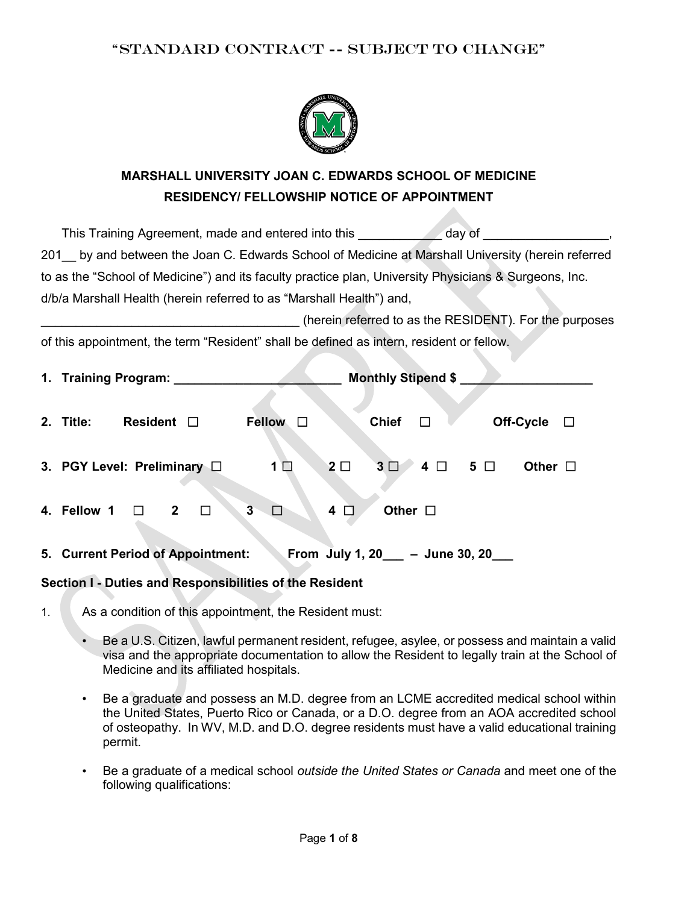

# **MARSHALL UNIVERSITY JOAN C. EDWARDS SCHOOL OF MEDICINE RESIDENCY/ FELLOWSHIP NOTICE OF APPOINTMENT**

This Training Agreement, made and entered into this and a day of the state of the state of the state of the state of the state of the state of the state of the state of the state of the state of the state of the state of t 201\_\_ by and between the Joan C. Edwards School of Medicine at Marshall University (herein referred to as the "School of Medicine") and its faculty practice plan, University Physicians & Surgeons, Inc. d/b/a Marshall Health (herein referred to as "Marshall Health") and,

(herein referred to as the RESIDENT). For the purposes

of this appointment, the term "Resident" shall be defined as intern, resident or fellow.

| 1. Training Program: 1.                                                                      | <b>Monthly Stipend \$</b>          |  |
|----------------------------------------------------------------------------------------------|------------------------------------|--|
| <b>Chief</b><br><b>Fellow</b><br>2. Title:<br>Resident $\Box$<br>$\Box$                      | Off-Cycle<br>$\Box$<br>$\perp$     |  |
| $2\square$<br>3 <sup>1</sup><br>3. PGY Level: Preliminary $\Box$<br>1 $\square$              | $4 \Box 5 \Box$<br>Other $\square$ |  |
| Other $\Box$<br>$\overline{2}$<br>$\overline{\mathbf{3}}$<br>□<br>4<br>4. Fellow 1<br>$\Box$ |                                    |  |
| 5. Current Period of Appointment:<br>From July 1, $20$                                       | - June 30, 20                      |  |

#### **Section I - Duties and Responsibilities of the Resident**

- 1. As a condition of this appointment, the Resident must:
	- Be a U.S. Citizen, lawful permanent resident, refugee, asylee, or possess and maintain a valid visa and the appropriate documentation to allow the Resident to legally train at the School of Medicine and its affiliated hospitals.
	- Be a graduate and possess an M.D. degree from an LCME accredited medical school within the United States, Puerto Rico or Canada, or a D.O. degree from an AOA accredited school of osteopathy. In WV, M.D. and D.O. degree residents must have a valid educational training permit.
	- Be a graduate of a medical school *outside the United States or Canada* and meet one of the following qualifications: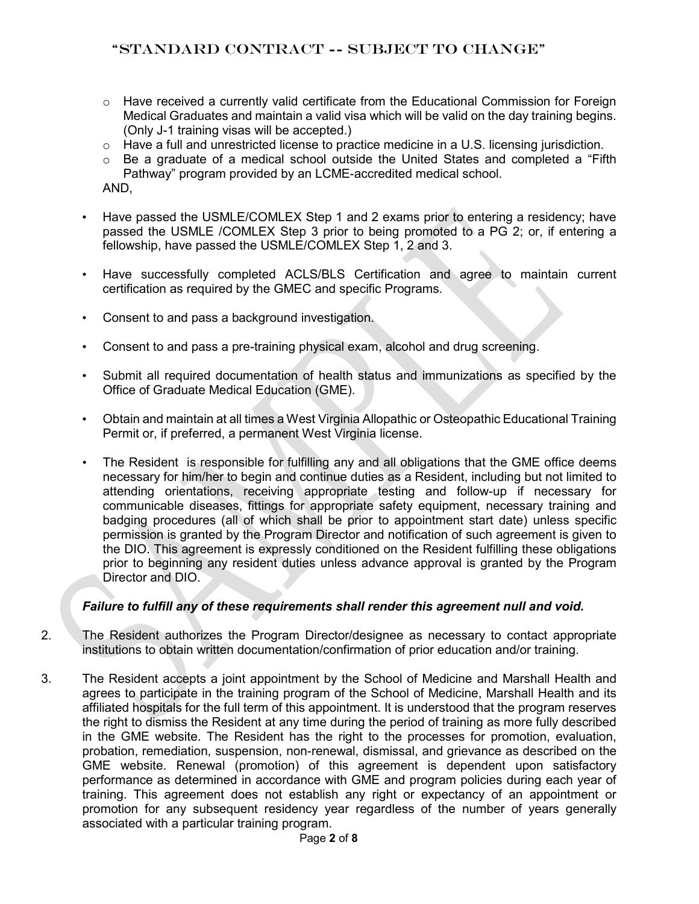- $\circ$  Have received a currently valid certificate from the Educational Commission for Foreign Medical Graduates and maintain a valid visa which will be valid on the day training begins. (Only J-1 training visas will be accepted.)
- $\circ$  Have a full and unrestricted license to practice medicine in a U.S. licensing jurisdiction.
- $\circ$  Be a graduate of a medical school outside the United States and completed a "Fifth Pathway" program provided by an LCME-accredited medical school. AND,
- Have passed the USMLE/COMLEX Step 1 and 2 exams prior to entering a residency; have passed the USMLE /COMLEX Step 3 prior to being promoted to a PG 2; or, if entering a fellowship, have passed the USMLE/COMLEX Step 1, 2 and 3.
- Have successfully completed ACLS/BLS Certification and agree to maintain current certification as required by the GMEC and specific Programs.
- Consent to and pass a background investigation.
- Consent to and pass a pre-training physical exam, alcohol and drug screening.
- Submit all required documentation of health status and immunizations as specified by the Office of Graduate Medical Education (GME).
- Obtain and maintain at all times a West Virginia Allopathic or Osteopathic Educational Training Permit or, if preferred, a permanent West Virginia license.
- The Resident is responsible for fulfilling any and all obligations that the GME office deems necessary for him/her to begin and continue duties as a Resident, including but not limited to attending orientations, receiving appropriate testing and follow-up if necessary for communicable diseases, fittings for appropriate safety equipment, necessary training and badging procedures (all of which shall be prior to appointment start date) unless specific permission is granted by the Program Director and notification of such agreement is given to the DIO. This agreement is expressly conditioned on the Resident fulfilling these obligations prior to beginning any resident duties unless advance approval is granted by the Program Director and DIO.

#### *Failure to fulfill any of these requirements shall render this agreement null and void.*

- 2. The Resident authorizes the Program Director/designee as necessary to contact appropriate institutions to obtain written documentation/confirmation of prior education and/or training.
- 3. The Resident accepts a joint appointment by the School of Medicine and Marshall Health and agrees to participate in the training program of the School of Medicine, Marshall Health and its affiliated hospitals for the full term of this appointment. It is understood that the program reserves the right to dismiss the Resident at any time during the period of training as more fully described in the GME website. The Resident has the right to the processes for promotion, evaluation, probation, remediation, suspension, non-renewal, dismissal, and grievance as described on the GME website. Renewal (promotion) of this agreement is dependent upon satisfactory performance as determined in accordance with GME and program policies during each year of training. This agreement does not establish any right or expectancy of an appointment or promotion for any subsequent residency year regardless of the number of years generally associated with a particular training program.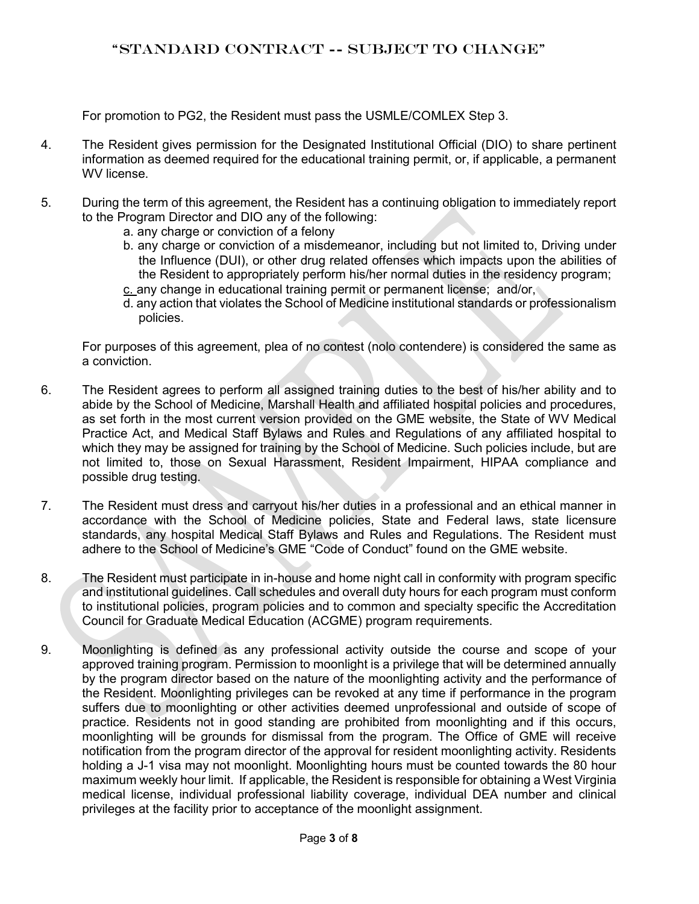For promotion to PG2, the Resident must pass the USMLE/COMLEX Step 3.

- 4. The Resident gives permission for the Designated Institutional Official (DIO) to share pertinent information as deemed required for the educational training permit, or, if applicable, a permanent WV license.
- 5. During the term of this agreement, the Resident has a continuing obligation to immediately report to the Program Director and DIO any of the following:
	- a. any charge or conviction of a felony
	- b. any charge or conviction of a misdemeanor, including but not limited to, Driving under the Influence (DUI), or other drug related offenses which impacts upon the abilities of the Resident to appropriately perform his/her normal duties in the residency program;
	- c. any change in educational training permit or permanent license; and/or,
	- d. any action that violates the School of Medicine institutional standards or professionalism policies.

For purposes of this agreement, plea of no contest (nolo contendere) is considered the same as a conviction.

- 6. The Resident agrees to perform all assigned training duties to the best of his/her ability and to abide by the School of Medicine, Marshall Health and affiliated hospital policies and procedures, as set forth in the most current version provided on the GME website, the State of WV Medical Practice Act, and Medical Staff Bylaws and Rules and Regulations of any affiliated hospital to which they may be assigned for training by the School of Medicine. Such policies include, but are not limited to, those on Sexual Harassment, Resident Impairment, HIPAA compliance and possible drug testing.
- 7. The Resident must dress and carryout his/her duties in a professional and an ethical manner in accordance with the School of Medicine policies, State and Federal laws, state licensure standards, any hospital Medical Staff Bylaws and Rules and Regulations. The Resident must adhere to the School of Medicine's GME "Code of Conduct" found on the GME website.
- 8. The Resident must participate in in-house and home night call in conformity with program specific and institutional guidelines. Call schedules and overall duty hours for each program must conform to institutional policies, program policies and to common and specialty specific the Accreditation Council for Graduate Medical Education (ACGME) program requirements.
- 9. Moonlighting is defined as any professional activity outside the course and scope of your approved training program. Permission to moonlight is a privilege that will be determined annually by the program director based on the nature of the moonlighting activity and the performance of the Resident. Moonlighting privileges can be revoked at any time if performance in the program suffers due to moonlighting or other activities deemed unprofessional and outside of scope of practice. Residents not in good standing are prohibited from moonlighting and if this occurs, moonlighting will be grounds for dismissal from the program. The Office of GME will receive notification from the program director of the approval for resident moonlighting activity. Residents holding a J-1 visa may not moonlight. Moonlighting hours must be counted towards the 80 hour maximum weekly hour limit. If applicable, the Resident is responsible for obtaining a West Virginia medical license, individual professional liability coverage, individual DEA number and clinical privileges at the facility prior to acceptance of the moonlight assignment.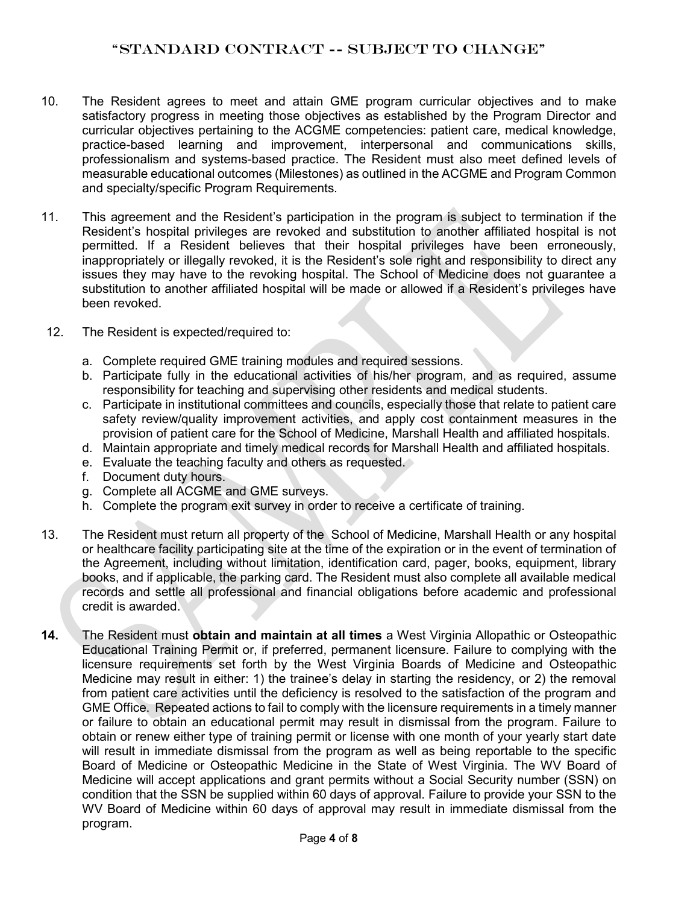- 10. The Resident agrees to meet and attain GME program curricular objectives and to make satisfactory progress in meeting those objectives as established by the Program Director and curricular objectives pertaining to the ACGME competencies: patient care, medical knowledge, practice-based learning and improvement, interpersonal and communications skills, professionalism and systems-based practice. The Resident must also meet defined levels of measurable educational outcomes (Milestones) as outlined in the ACGME and Program Common and specialty/specific Program Requirements.
- 11. This agreement and the Resident's participation in the program is subject to termination if the Resident's hospital privileges are revoked and substitution to another affiliated hospital is not permitted. If a Resident believes that their hospital privileges have been erroneously, inappropriately or illegally revoked, it is the Resident's sole right and responsibility to direct any issues they may have to the revoking hospital. The School of Medicine does not guarantee a substitution to another affiliated hospital will be made or allowed if a Resident's privileges have been revoked.
- 12. The Resident is expected/required to:
	- a. Complete required GME training modules and required sessions.
	- b. Participate fully in the educational activities of his/her program, and as required, assume responsibility for teaching and supervising other residents and medical students.
	- c. Participate in institutional committees and councils, especially those that relate to patient care safety review/quality improvement activities, and apply cost containment measures in the provision of patient care for the School of Medicine, Marshall Health and affiliated hospitals.
	- d. Maintain appropriate and timely medical records for Marshall Health and affiliated hospitals.
	- e. Evaluate the teaching faculty and others as requested.
	- f. Document duty hours.
	- g. Complete all ACGME and GME surveys.
	- h. Complete the program exit survey in order to receive a certificate of training.
- 13. The Resident must return all property of the School of Medicine, Marshall Health or any hospital or healthcare facility participating site at the time of the expiration or in the event of termination of the Agreement, including without limitation, identification card, pager, books, equipment, library books, and if applicable, the parking card. The Resident must also complete all available medical records and settle all professional and financial obligations before academic and professional credit is awarded.
- **14.** The Resident must **obtain and maintain at all times** a West Virginia Allopathic or Osteopathic Educational Training Permit or, if preferred, permanent licensure. Failure to complying with the licensure requirements set forth by the West Virginia Boards of Medicine and Osteopathic Medicine may result in either: 1) the trainee's delay in starting the residency, or 2) the removal from patient care activities until the deficiency is resolved to the satisfaction of the program and GME Office. Repeated actions to fail to comply with the licensure requirements in a timely manner or failure to obtain an educational permit may result in dismissal from the program. Failure to obtain or renew either type of training permit or license with one month of your yearly start date will result in immediate dismissal from the program as well as being reportable to the specific Board of Medicine or Osteopathic Medicine in the State of West Virginia. The WV Board of Medicine will accept applications and grant permits without a Social Security number (SSN) on condition that the SSN be supplied within 60 days of approval. Failure to provide your SSN to the WV Board of Medicine within 60 days of approval may result in immediate dismissal from the program.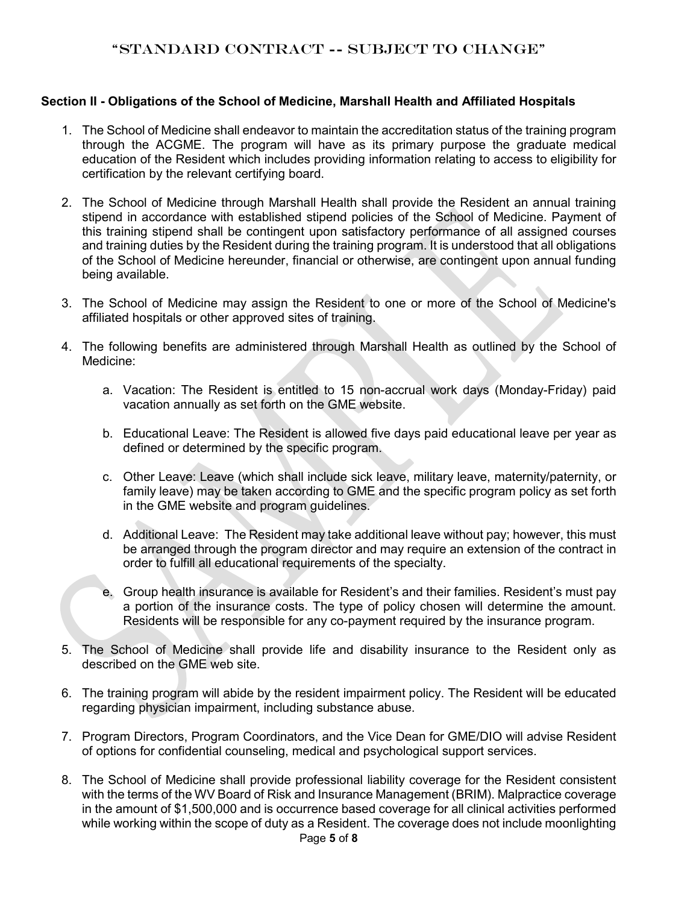#### **Section II - Obligations of the School of Medicine, Marshall Health and Affiliated Hospitals**

- 1. The School of Medicine shall endeavor to maintain the accreditation status of the training program through the ACGME. The program will have as its primary purpose the graduate medical education of the Resident which includes providing information relating to access to eligibility for certification by the relevant certifying board.
- 2. The School of Medicine through Marshall Health shall provide the Resident an annual training stipend in accordance with established stipend policies of the School of Medicine. Payment of this training stipend shall be contingent upon satisfactory performance of all assigned courses and training duties by the Resident during the training program. It is understood that all obligations of the School of Medicine hereunder, financial or otherwise, are contingent upon annual funding being available.
- 3. The School of Medicine may assign the Resident to one or more of the School of Medicine's affiliated hospitals or other approved sites of training.
- 4. The following benefits are administered through Marshall Health as outlined by the School of Medicine:
	- a. Vacation: The Resident is entitled to 15 non-accrual work days (Monday-Friday) paid vacation annually as set forth on the GME website.
	- b. Educational Leave: The Resident is allowed five days paid educational leave per year as defined or determined by the specific program.
	- c. Other Leave: Leave (which shall include sick leave, military leave, maternity/paternity, or family leave) may be taken according to GME and the specific program policy as set forth in the GME website and program guidelines.
	- d. Additional Leave: The Resident may take additional leave without pay; however, this must be arranged through the program director and may require an extension of the contract in order to fulfill all educational requirements of the specialty.
	- e. Group health insurance is available for Resident's and their families. Resident's must pay a portion of the insurance costs. The type of policy chosen will determine the amount. Residents will be responsible for any co-payment required by the insurance program.
- 5. The School of Medicine shall provide life and disability insurance to the Resident only as described on the GME web site.
- 6. The training program will abide by the resident impairment policy. The Resident will be educated regarding physician impairment, including substance abuse.
- 7. Program Directors, Program Coordinators, and the Vice Dean for GME/DIO will advise Resident of options for confidential counseling, medical and psychological support services.
- 8. The School of Medicine shall provide professional liability coverage for the Resident consistent with the terms of the WV Board of Risk and Insurance Management (BRIM). Malpractice coverage in the amount of \$1,500,000 and is occurrence based coverage for all clinical activities performed while working within the scope of duty as a Resident. The coverage does not include moonlighting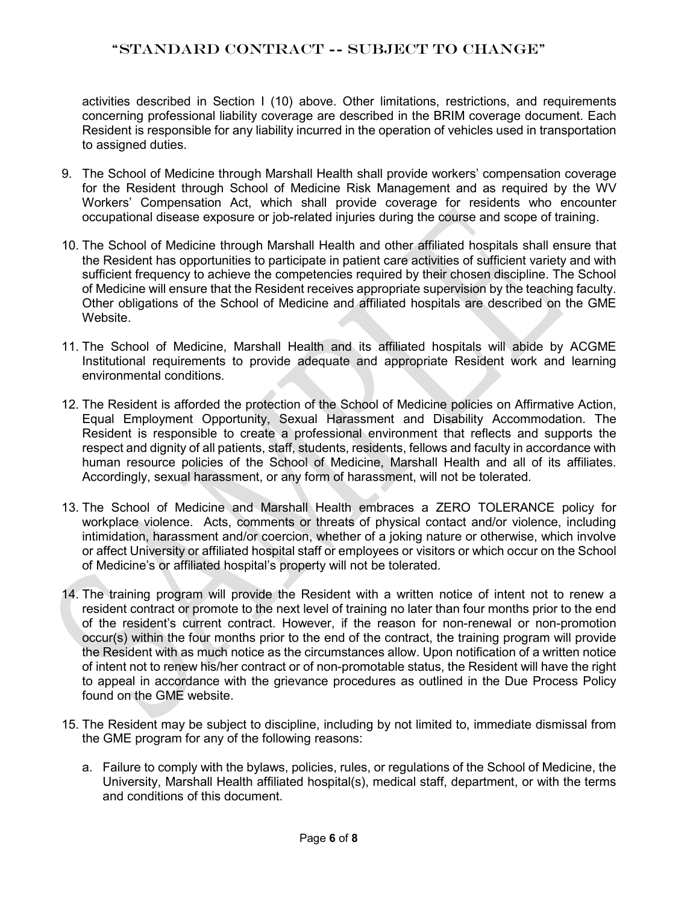activities described in Section I (10) above. Other limitations, restrictions, and requirements concerning professional liability coverage are described in the BRIM coverage document. Each Resident is responsible for any liability incurred in the operation of vehicles used in transportation to assigned duties.

- 9. The School of Medicine through Marshall Health shall provide workers' compensation coverage for the Resident through School of Medicine Risk Management and as required by the WV Workers' Compensation Act, which shall provide coverage for residents who encounter occupational disease exposure or job-related injuries during the course and scope of training.
- 10. The School of Medicine through Marshall Health and other affiliated hospitals shall ensure that the Resident has opportunities to participate in patient care activities of sufficient variety and with sufficient frequency to achieve the competencies required by their chosen discipline. The School of Medicine will ensure that the Resident receives appropriate supervision by the teaching faculty. Other obligations of the School of Medicine and affiliated hospitals are described on the GME Website.
- 11. The School of Medicine, Marshall Health and its affiliated hospitals will abide by ACGME Institutional requirements to provide adequate and appropriate Resident work and learning environmental conditions.
- 12. The Resident is afforded the protection of the School of Medicine policies on Affirmative Action, Equal Employment Opportunity, Sexual Harassment and Disability Accommodation. The Resident is responsible to create a professional environment that reflects and supports the respect and dignity of all patients, staff, students, residents, fellows and faculty in accordance with human resource policies of the School of Medicine, Marshall Health and all of its affiliates. Accordingly, sexual harassment, or any form of harassment, will not be tolerated.
- 13. The School of Medicine and Marshall Health embraces a ZERO TOLERANCE policy for workplace violence. Acts, comments or threats of physical contact and/or violence, including intimidation, harassment and/or coercion, whether of a joking nature or otherwise, which involve or affect University or affiliated hospital staff or employees or visitors or which occur on the School of Medicine's or affiliated hospital's property will not be tolerated.
- 14. The training program will provide the Resident with a written notice of intent not to renew a resident contract or promote to the next level of training no later than four months prior to the end of the resident's current contract. However, if the reason for non-renewal or non-promotion occur(s) within the four months prior to the end of the contract, the training program will provide the Resident with as much notice as the circumstances allow. Upon notification of a written notice of intent not to renew his/her contract or of non-promotable status, the Resident will have the right to appeal in accordance with the grievance procedures as outlined in the Due Process Policy found on the GME website.
- 15. The Resident may be subject to discipline, including by not limited to, immediate dismissal from the GME program for any of the following reasons:
	- a. Failure to comply with the bylaws, policies, rules, or regulations of the School of Medicine, the University, Marshall Health affiliated hospital(s), medical staff, department, or with the terms and conditions of this document.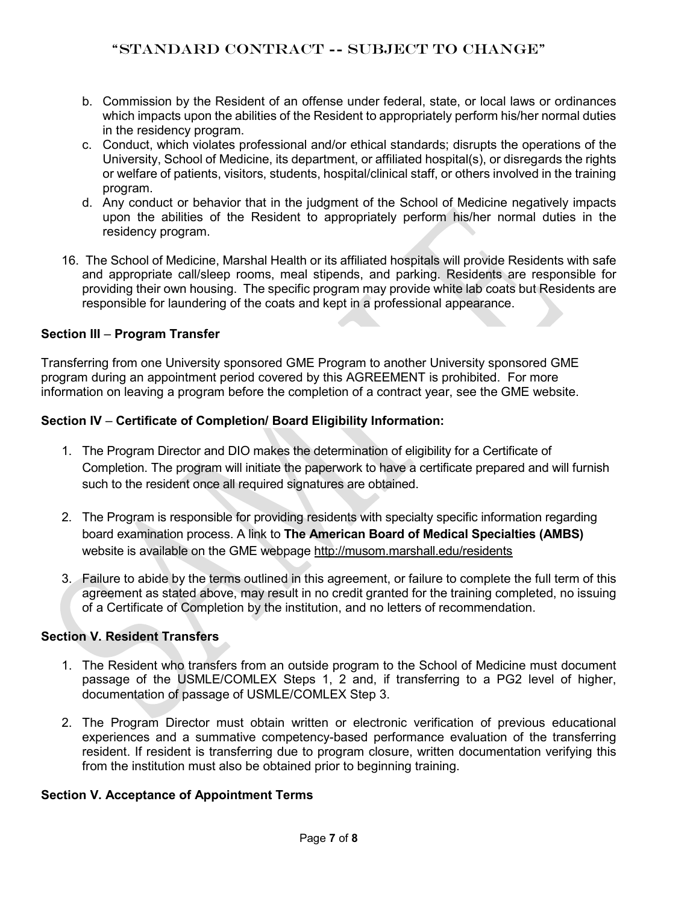- b. Commission by the Resident of an offense under federal, state, or local laws or ordinances which impacts upon the abilities of the Resident to appropriately perform his/her normal duties in the residency program.
- c. Conduct, which violates professional and/or ethical standards; disrupts the operations of the University, School of Medicine, its department, or affiliated hospital(s), or disregards the rights or welfare of patients, visitors, students, hospital/clinical staff, or others involved in the training program.
- d. Any conduct or behavior that in the judgment of the School of Medicine negatively impacts upon the abilities of the Resident to appropriately perform his/her normal duties in the residency program.
- 16. The School of Medicine, Marshal Health or its affiliated hospitals will provide Residents with safe and appropriate call/sleep rooms, meal stipends, and parking. Residents are responsible for providing their own housing. The specific program may provide white lab coats but Residents are responsible for laundering of the coats and kept in a professional appearance.

## **Section III** – **Program Transfer**

Transferring from one University sponsored GME Program to another University sponsored GME program during an appointment period covered by this AGREEMENT is prohibited. For more information on leaving a program before the completion of a contract year, see the GME website.

## **Section IV** – **Certificate of Completion/ Board Eligibility Information:**

- 1. The Program Director and DIO makes the determination of eligibility for a Certificate of Completion. The program will initiate the paperwork to have a certificate prepared and will furnish such to the resident once all required signatures are obtained.
- 2. The Program is responsible for providing residents with specialty specific information regarding board examination process. A link to **The American Board of Medical Specialties (AMBS)**  website is available on the GME webpage<http://musom.marshall.edu/residents>
- 3. Failure to abide by the terms outlined in this agreement, or failure to complete the full term of this agreement as stated above, may result in no credit granted for the training completed, no issuing of a Certificate of Completion by the institution, and no letters of recommendation.

## **Section V. Resident Transfers**

- 1. The Resident who transfers from an outside program to the School of Medicine must document passage of the USMLE/COMLEX Steps 1, 2 and, if transferring to a PG2 level of higher, documentation of passage of USMLE/COMLEX Step 3.
- 2. The Program Director must obtain written or electronic verification of previous educational experiences and a summative competency-based performance evaluation of the transferring resident. If resident is transferring due to program closure, written documentation verifying this from the institution must also be obtained prior to beginning training.

#### **Section V. Acceptance of Appointment Terms**